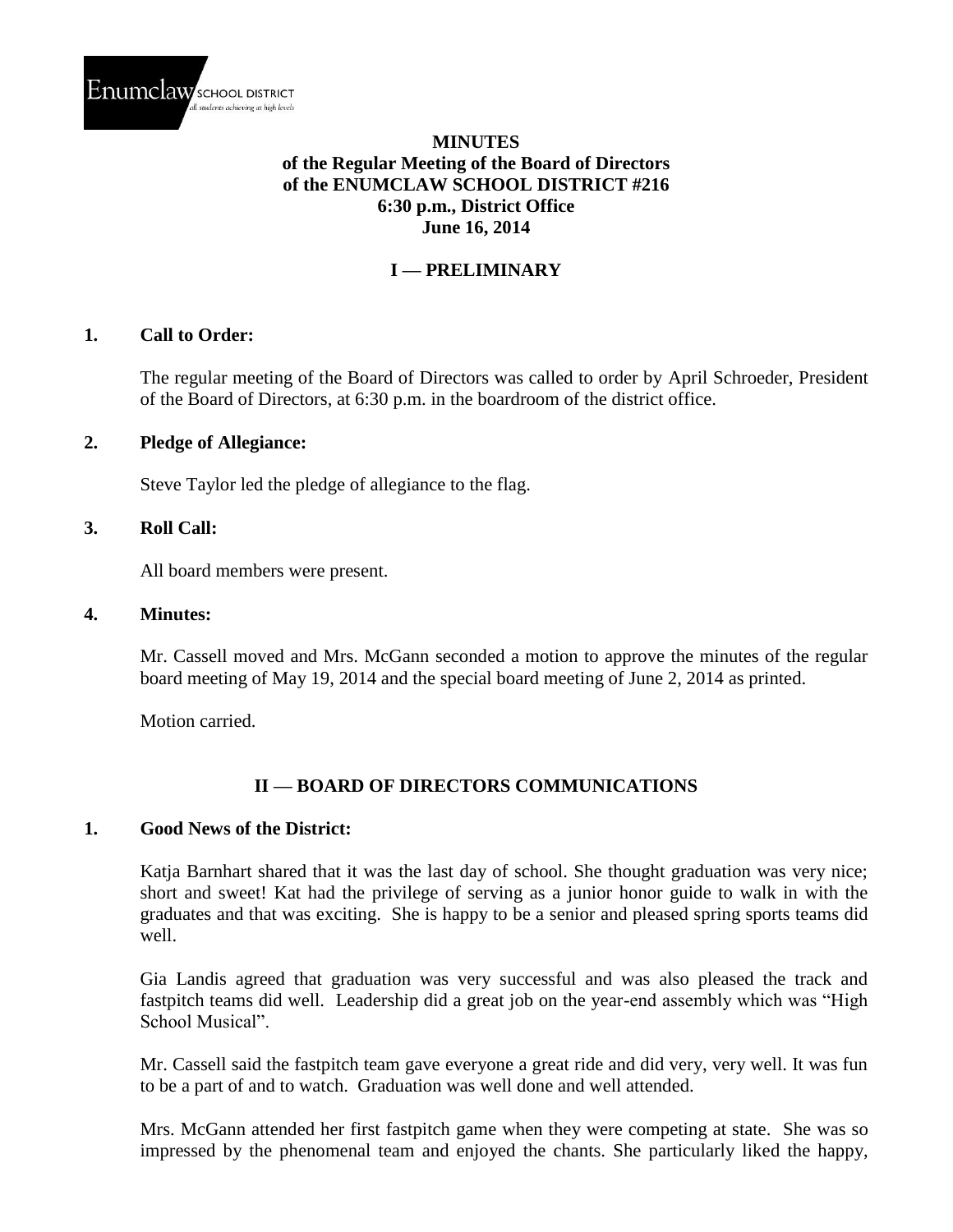

#### **MINUTES of the Regular Meeting of the Board of Directors of the ENUMCLAW SCHOOL DISTRICT #216 6:30 p.m., District Office June 16, 2014**

## **I — PRELIMINARY**

#### **1. Call to Order:**

The regular meeting of the Board of Directors was called to order by April Schroeder, President of the Board of Directors, at 6:30 p.m. in the boardroom of the district office.

#### **2. Pledge of Allegiance:**

Steve Taylor led the pledge of allegiance to the flag.

#### **3. Roll Call:**

All board members were present.

#### **4. Minutes:**

Mr. Cassell moved and Mrs. McGann seconded a motion to approve the minutes of the regular board meeting of May 19, 2014 and the special board meeting of June 2, 2014 as printed.

Motion carried.

## **II — BOARD OF DIRECTORS COMMUNICATIONS**

#### **1. Good News of the District:**

Katja Barnhart shared that it was the last day of school. She thought graduation was very nice; short and sweet! Kat had the privilege of serving as a junior honor guide to walk in with the graduates and that was exciting. She is happy to be a senior and pleased spring sports teams did well.

Gia Landis agreed that graduation was very successful and was also pleased the track and fastpitch teams did well. Leadership did a great job on the year-end assembly which was "High School Musical".

Mr. Cassell said the fastpitch team gave everyone a great ride and did very, very well. It was fun to be a part of and to watch. Graduation was well done and well attended.

Mrs. McGann attended her first fastpitch game when they were competing at state. She was so impressed by the phenomenal team and enjoyed the chants. She particularly liked the happy,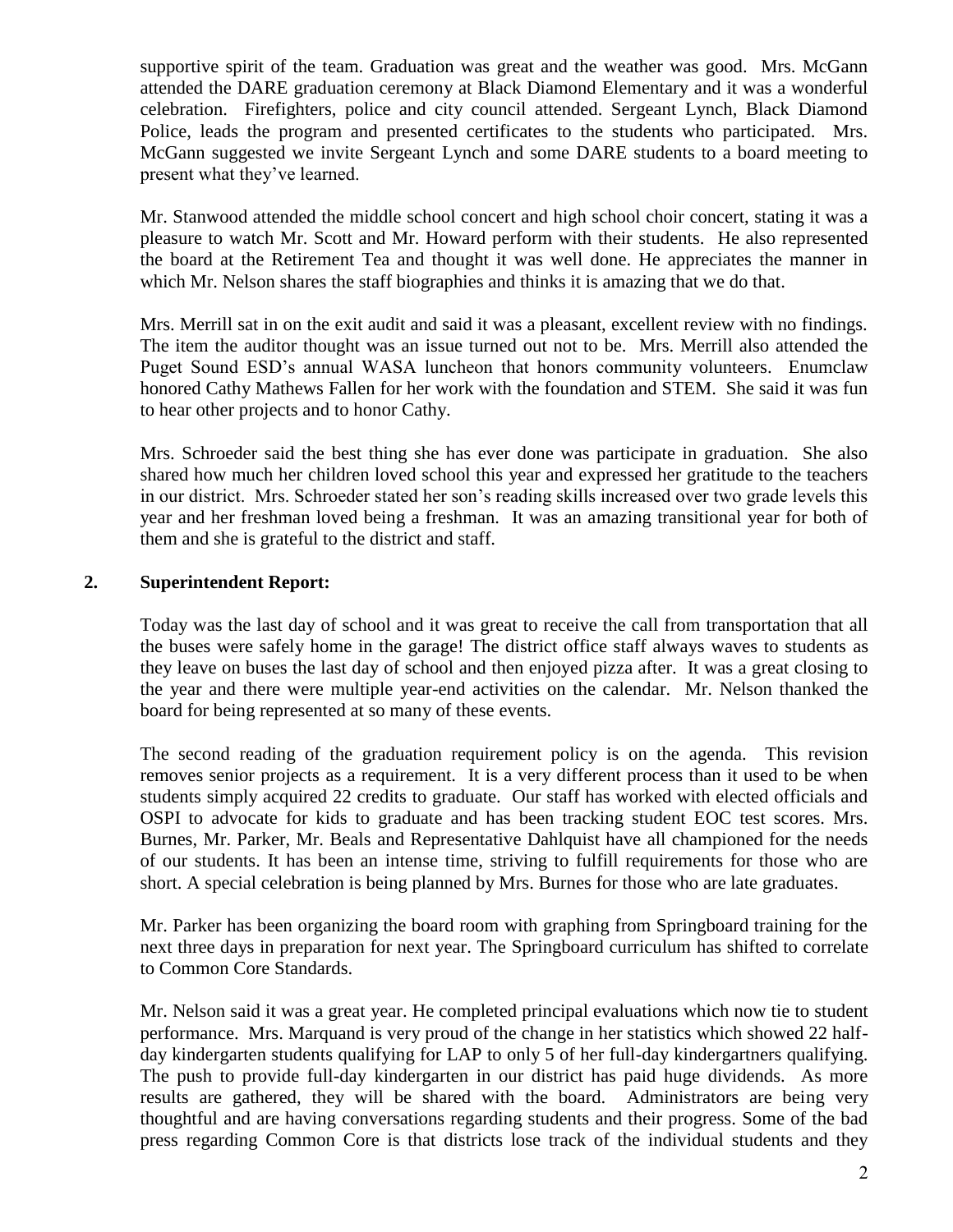supportive spirit of the team. Graduation was great and the weather was good. Mrs. McGann attended the DARE graduation ceremony at Black Diamond Elementary and it was a wonderful celebration. Firefighters, police and city council attended. Sergeant Lynch, Black Diamond Police, leads the program and presented certificates to the students who participated. Mrs. McGann suggested we invite Sergeant Lynch and some DARE students to a board meeting to present what they've learned.

Mr. Stanwood attended the middle school concert and high school choir concert, stating it was a pleasure to watch Mr. Scott and Mr. Howard perform with their students. He also represented the board at the Retirement Tea and thought it was well done. He appreciates the manner in which Mr. Nelson shares the staff biographies and thinks it is amazing that we do that.

Mrs. Merrill sat in on the exit audit and said it was a pleasant, excellent review with no findings. The item the auditor thought was an issue turned out not to be. Mrs. Merrill also attended the Puget Sound ESD's annual WASA luncheon that honors community volunteers. Enumclaw honored Cathy Mathews Fallen for her work with the foundation and STEM. She said it was fun to hear other projects and to honor Cathy.

Mrs. Schroeder said the best thing she has ever done was participate in graduation. She also shared how much her children loved school this year and expressed her gratitude to the teachers in our district. Mrs. Schroeder stated her son's reading skills increased over two grade levels this year and her freshman loved being a freshman. It was an amazing transitional year for both of them and she is grateful to the district and staff.

## **2. Superintendent Report:**

Today was the last day of school and it was great to receive the call from transportation that all the buses were safely home in the garage! The district office staff always waves to students as they leave on buses the last day of school and then enjoyed pizza after. It was a great closing to the year and there were multiple year-end activities on the calendar. Mr. Nelson thanked the board for being represented at so many of these events.

The second reading of the graduation requirement policy is on the agenda. This revision removes senior projects as a requirement. It is a very different process than it used to be when students simply acquired 22 credits to graduate. Our staff has worked with elected officials and OSPI to advocate for kids to graduate and has been tracking student EOC test scores. Mrs. Burnes, Mr. Parker, Mr. Beals and Representative Dahlquist have all championed for the needs of our students. It has been an intense time, striving to fulfill requirements for those who are short. A special celebration is being planned by Mrs. Burnes for those who are late graduates.

Mr. Parker has been organizing the board room with graphing from Springboard training for the next three days in preparation for next year. The Springboard curriculum has shifted to correlate to Common Core Standards.

Mr. Nelson said it was a great year. He completed principal evaluations which now tie to student performance. Mrs. Marquand is very proud of the change in her statistics which showed 22 halfday kindergarten students qualifying for LAP to only 5 of her full-day kindergartners qualifying. The push to provide full-day kindergarten in our district has paid huge dividends. As more results are gathered, they will be shared with the board. Administrators are being very thoughtful and are having conversations regarding students and their progress. Some of the bad press regarding Common Core is that districts lose track of the individual students and they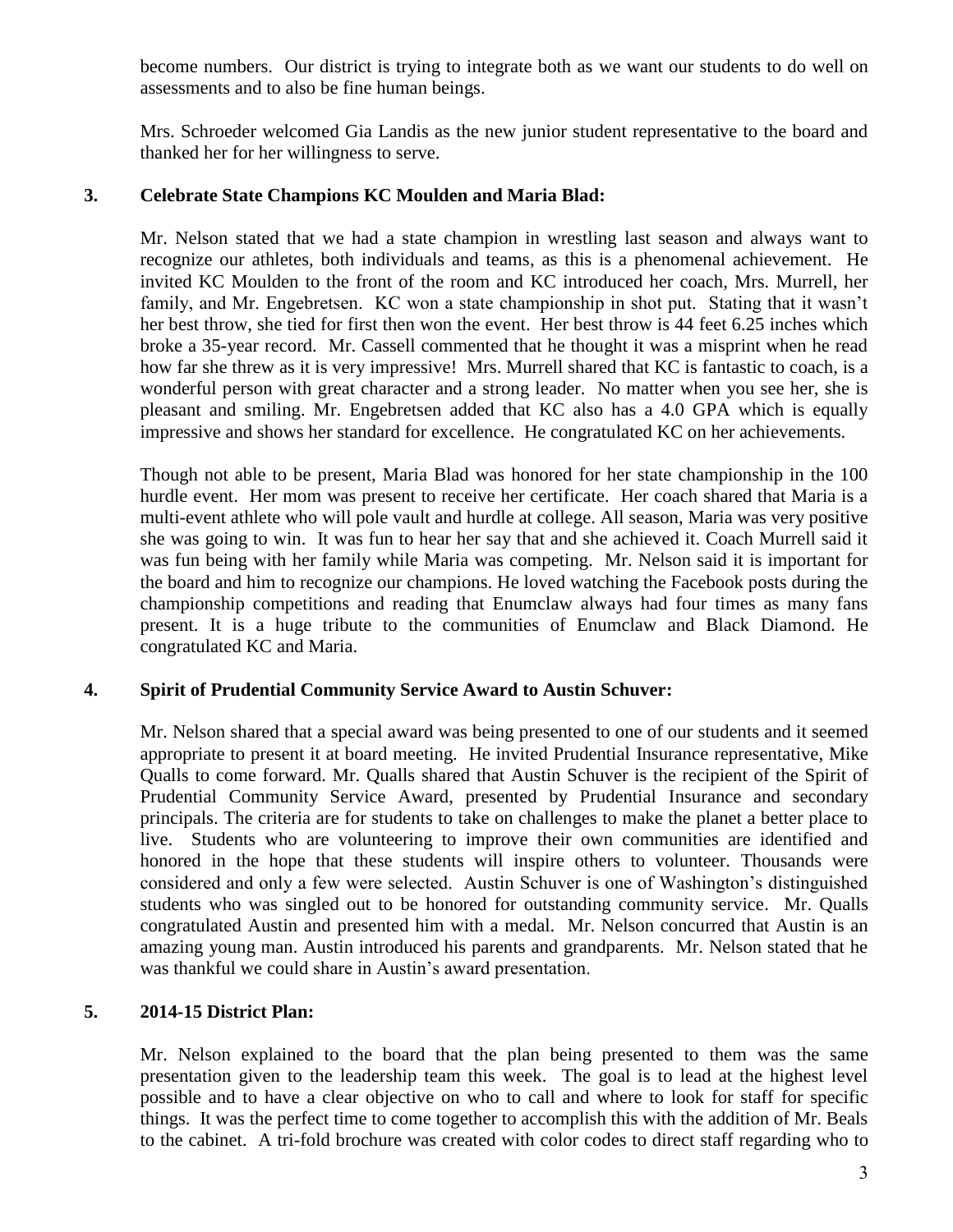become numbers. Our district is trying to integrate both as we want our students to do well on assessments and to also be fine human beings.

Mrs. Schroeder welcomed Gia Landis as the new junior student representative to the board and thanked her for her willingness to serve.

## **3. Celebrate State Champions KC Moulden and Maria Blad:**

Mr. Nelson stated that we had a state champion in wrestling last season and always want to recognize our athletes, both individuals and teams, as this is a phenomenal achievement. He invited KC Moulden to the front of the room and KC introduced her coach, Mrs. Murrell, her family, and Mr. Engebretsen. KC won a state championship in shot put. Stating that it wasn't her best throw, she tied for first then won the event. Her best throw is 44 feet 6.25 inches which broke a 35-year record. Mr. Cassell commented that he thought it was a misprint when he read how far she threw as it is very impressive! Mrs. Murrell shared that KC is fantastic to coach, is a wonderful person with great character and a strong leader. No matter when you see her, she is pleasant and smiling. Mr. Engebretsen added that KC also has a 4.0 GPA which is equally impressive and shows her standard for excellence. He congratulated KC on her achievements.

Though not able to be present, Maria Blad was honored for her state championship in the 100 hurdle event. Her mom was present to receive her certificate. Her coach shared that Maria is a multi-event athlete who will pole vault and hurdle at college. All season, Maria was very positive she was going to win. It was fun to hear her say that and she achieved it. Coach Murrell said it was fun being with her family while Maria was competing. Mr. Nelson said it is important for the board and him to recognize our champions. He loved watching the Facebook posts during the championship competitions and reading that Enumclaw always had four times as many fans present. It is a huge tribute to the communities of Enumclaw and Black Diamond. He congratulated KC and Maria.

## **4. Spirit of Prudential Community Service Award to Austin Schuver:**

Mr. Nelson shared that a special award was being presented to one of our students and it seemed appropriate to present it at board meeting. He invited Prudential Insurance representative, Mike Qualls to come forward. Mr. Qualls shared that Austin Schuver is the recipient of the Spirit of Prudential Community Service Award, presented by Prudential Insurance and secondary principals. The criteria are for students to take on challenges to make the planet a better place to live. Students who are volunteering to improve their own communities are identified and honored in the hope that these students will inspire others to volunteer. Thousands were considered and only a few were selected. Austin Schuver is one of Washington's distinguished students who was singled out to be honored for outstanding community service. Mr. Qualls congratulated Austin and presented him with a medal. Mr. Nelson concurred that Austin is an amazing young man. Austin introduced his parents and grandparents. Mr. Nelson stated that he was thankful we could share in Austin's award presentation.

## **5. 2014-15 District Plan:**

Mr. Nelson explained to the board that the plan being presented to them was the same presentation given to the leadership team this week. The goal is to lead at the highest level possible and to have a clear objective on who to call and where to look for staff for specific things. It was the perfect time to come together to accomplish this with the addition of Mr. Beals to the cabinet. A tri-fold brochure was created with color codes to direct staff regarding who to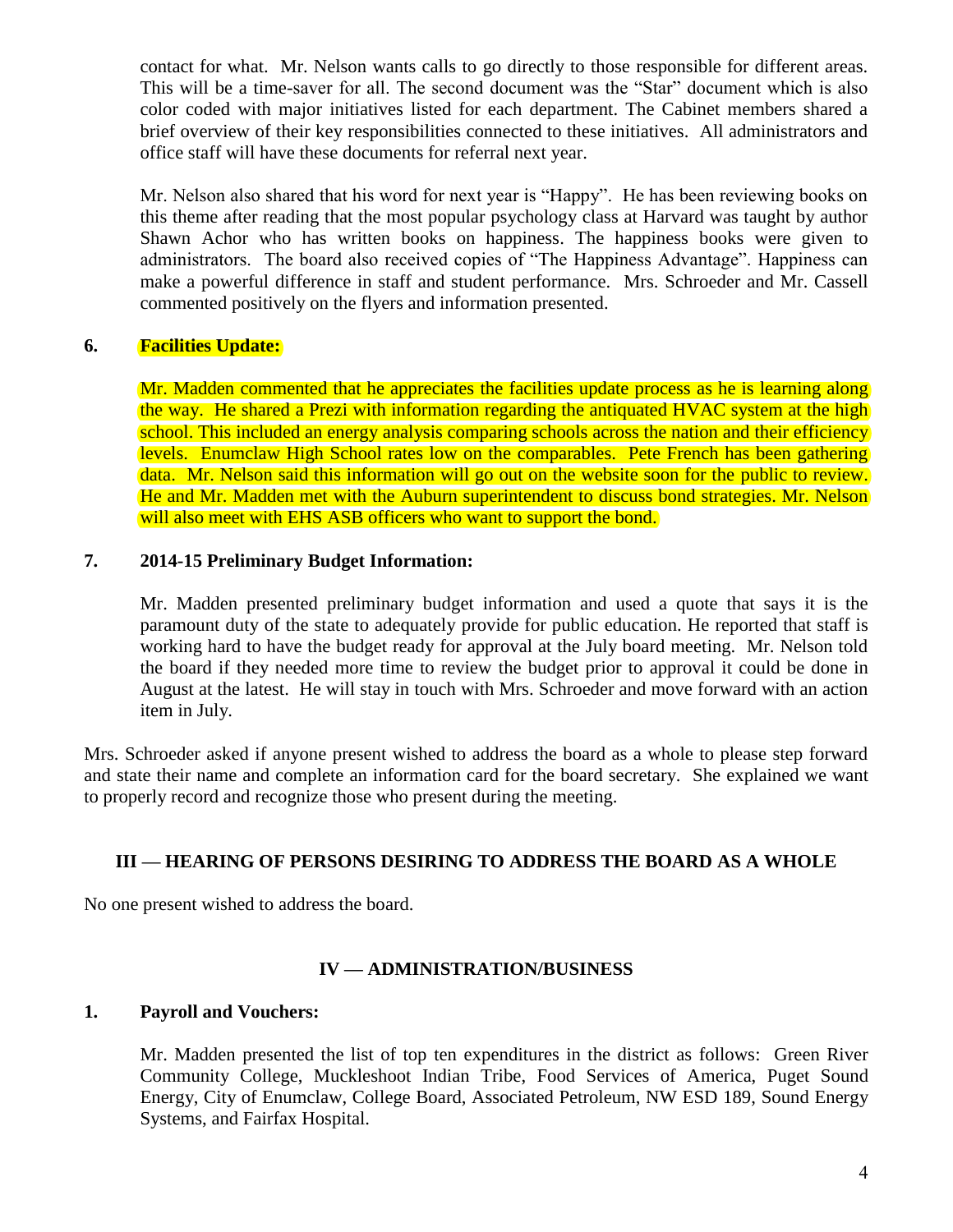contact for what. Mr. Nelson wants calls to go directly to those responsible for different areas. This will be a time-saver for all. The second document was the "Star" document which is also color coded with major initiatives listed for each department. The Cabinet members shared a brief overview of their key responsibilities connected to these initiatives. All administrators and office staff will have these documents for referral next year.

Mr. Nelson also shared that his word for next year is "Happy". He has been reviewing books on this theme after reading that the most popular psychology class at Harvard was taught by author Shawn Achor who has written books on happiness. The happiness books were given to administrators. The board also received copies of "The Happiness Advantage". Happiness can make a powerful difference in staff and student performance. Mrs. Schroeder and Mr. Cassell commented positively on the flyers and information presented.

## **6. Facilities Update:**

Mr. Madden commented that he appreciates the facilities update process as he is learning along the way. He shared a Prezi with information regarding the antiquated HVAC system at the high school. This included an energy analysis comparing schools across the nation and their efficiency levels. Enumclaw High School rates low on the comparables. Pete French has been gathering data. Mr. Nelson said this information will go out on the website soon for the public to review. He and Mr. Madden met with the Auburn superintendent to discuss bond strategies. Mr. Nelson will also meet with EHS ASB officers who want to support the bond.

## **7. 2014-15 Preliminary Budget Information:**

Mr. Madden presented preliminary budget information and used a quote that says it is the paramount duty of the state to adequately provide for public education. He reported that staff is working hard to have the budget ready for approval at the July board meeting. Mr. Nelson told the board if they needed more time to review the budget prior to approval it could be done in August at the latest. He will stay in touch with Mrs. Schroeder and move forward with an action item in July.

Mrs. Schroeder asked if anyone present wished to address the board as a whole to please step forward and state their name and complete an information card for the board secretary. She explained we want to properly record and recognize those who present during the meeting.

## **III — HEARING OF PERSONS DESIRING TO ADDRESS THE BOARD AS A WHOLE**

No one present wished to address the board.

## **IV — ADMINISTRATION/BUSINESS**

#### **1. Payroll and Vouchers:**

Mr. Madden presented the list of top ten expenditures in the district as follows: Green River Community College, Muckleshoot Indian Tribe, Food Services of America, Puget Sound Energy, City of Enumclaw, College Board, Associated Petroleum, NW ESD 189, Sound Energy Systems, and Fairfax Hospital.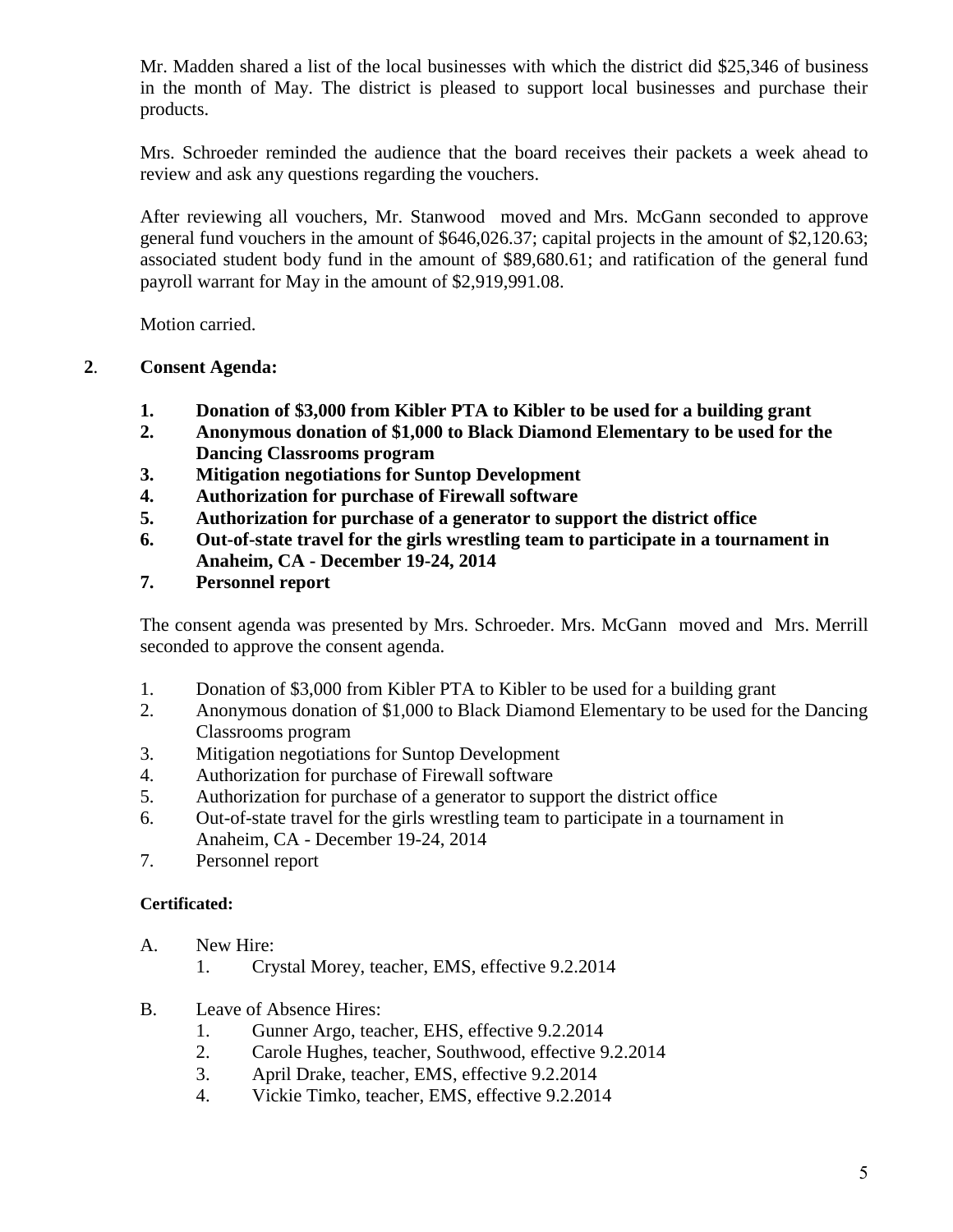Mr. Madden shared a list of the local businesses with which the district did \$25,346 of business in the month of May. The district is pleased to support local businesses and purchase their products.

Mrs. Schroeder reminded the audience that the board receives their packets a week ahead to review and ask any questions regarding the vouchers.

After reviewing all vouchers, Mr. Stanwood moved and Mrs. McGann seconded to approve general fund vouchers in the amount of \$646,026.37; capital projects in the amount of \$2,120.63; associated student body fund in the amount of \$89,680.61; and ratification of the general fund payroll warrant for May in the amount of \$2,919,991.08.

Motion carried.

## **2**. **Consent Agenda:**

- **1. Donation of \$3,000 from Kibler PTA to Kibler to be used for a building grant**
- **2. Anonymous donation of \$1,000 to Black Diamond Elementary to be used for the Dancing Classrooms program**
- **3. Mitigation negotiations for Suntop Development**
- **4. Authorization for purchase of Firewall software**
- **5. Authorization for purchase of a generator to support the district office**
- **6. Out-of-state travel for the girls wrestling team to participate in a tournament in Anaheim, CA - December 19-24, 2014**
- **7. Personnel report**

The consent agenda was presented by Mrs. Schroeder. Mrs. McGann moved and Mrs. Merrill seconded to approve the consent agenda.

- 1. Donation of \$3,000 from Kibler PTA to Kibler to be used for a building grant
- 2. Anonymous donation of \$1,000 to Black Diamond Elementary to be used for the Dancing Classrooms program
- 3. Mitigation negotiations for Suntop Development
- 4. Authorization for purchase of Firewall software
- 5. Authorization for purchase of a generator to support the district office
- 6. Out-of-state travel for the girls wrestling team to participate in a tournament in Anaheim, CA - December 19-24, 2014
- 7. Personnel report

## **Certificated:**

- A. New Hire:
	- 1. Crystal Morey, teacher, EMS, effective 9.2.2014
- B. Leave of Absence Hires:
	- 1. Gunner Argo, teacher, EHS, effective 9.2.2014
	- 2. Carole Hughes, teacher, Southwood, effective 9.2.2014
	- 3. April Drake, teacher, EMS, effective 9.2.2014
	- 4. Vickie Timko, teacher, EMS, effective 9.2.2014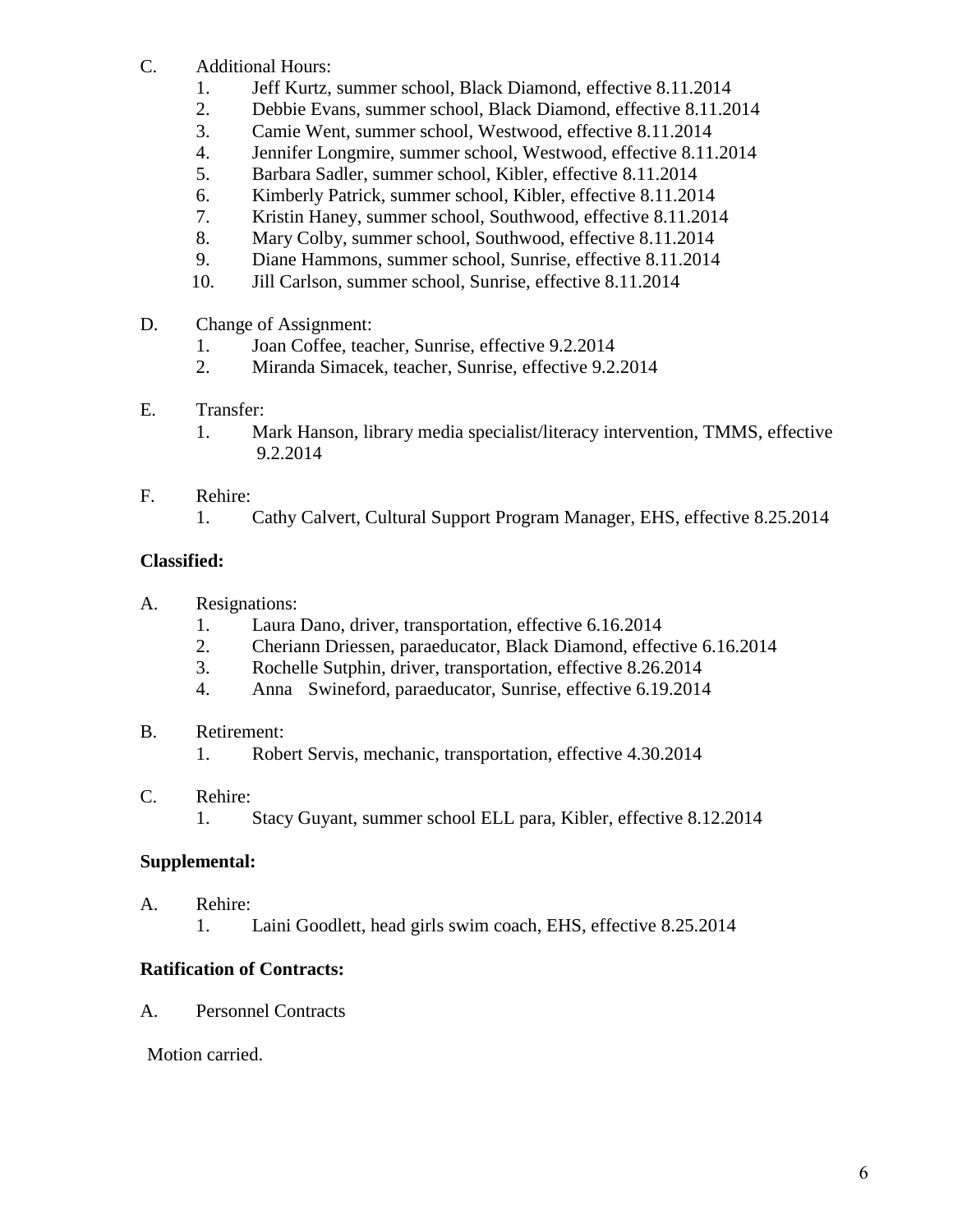- C. Additional Hours:
	- 1. Jeff Kurtz, summer school, Black Diamond, effective 8.11.2014
	- 2. Debbie Evans, summer school, Black Diamond, effective 8.11.2014
	- 3. Camie Went, summer school, Westwood, effective 8.11.2014
	- 4. Jennifer Longmire, summer school, Westwood, effective 8.11.2014
	- 5. Barbara Sadler, summer school, Kibler, effective 8.11.2014
	- 6. Kimberly Patrick, summer school, Kibler, effective 8.11.2014
	- 7. Kristin Haney, summer school, Southwood, effective 8.11.2014
	- 8. Mary Colby, summer school, Southwood, effective 8.11.2014
	- 9. Diane Hammons, summer school, Sunrise, effective 8.11.2014
	- 10. Jill Carlson, summer school, Sunrise, effective 8.11.2014
- D. Change of Assignment:
	- 1. Joan Coffee, teacher, Sunrise, effective 9.2.2014
	- 2. Miranda Simacek, teacher, Sunrise, effective 9.2.2014
- E. Transfer:
	- 1. Mark Hanson, library media specialist/literacy intervention, TMMS, effective 9.2.2014
- F. Rehire:
	- 1. Cathy Calvert, Cultural Support Program Manager, EHS, effective 8.25.2014

# **Classified:**

- A. Resignations:
	- 1. Laura Dano, driver, transportation, effective 6.16.2014
	- 2. Cheriann Driessen, paraeducator, Black Diamond, effective 6.16.2014
	- 3. Rochelle Sutphin, driver, transportation, effective 8.26.2014
	- 4. Anna Swineford, paraeducator, Sunrise, effective 6.19.2014
- B. Retirement:
	- 1. Robert Servis, mechanic, transportation, effective 4.30.2014
- C. Rehire:
	- 1. Stacy Guyant, summer school ELL para, Kibler, effective 8.12.2014

# **Supplemental:**

- A. Rehire:
	- 1. Laini Goodlett, head girls swim coach, EHS, effective 8.25.2014

# **Ratification of Contracts:**

A. Personnel Contracts

Motion carried.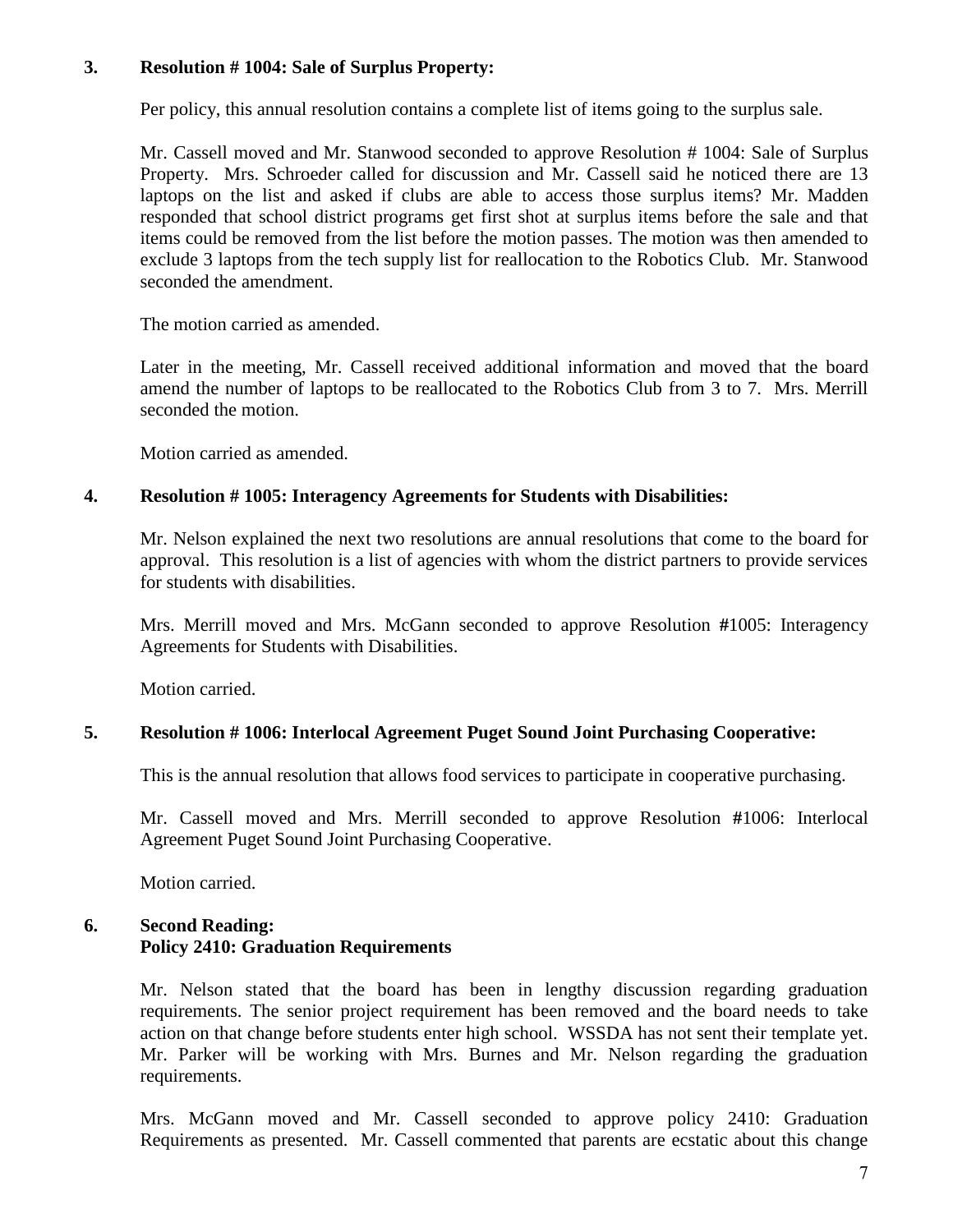## **3. Resolution # 1004: Sale of Surplus Property:**

Per policy, this annual resolution contains a complete list of items going to the surplus sale.

Mr. Cassell moved and Mr. Stanwood seconded to approve Resolution # 1004: Sale of Surplus Property. Mrs. Schroeder called for discussion and Mr. Cassell said he noticed there are 13 laptops on the list and asked if clubs are able to access those surplus items? Mr. Madden responded that school district programs get first shot at surplus items before the sale and that items could be removed from the list before the motion passes. The motion was then amended to exclude 3 laptops from the tech supply list for reallocation to the Robotics Club. Mr. Stanwood seconded the amendment.

The motion carried as amended.

Later in the meeting, Mr. Cassell received additional information and moved that the board amend the number of laptops to be reallocated to the Robotics Club from 3 to 7. Mrs. Merrill seconded the motion.

Motion carried as amended.

#### **4. Resolution # 1005: Interagency Agreements for Students with Disabilities:**

Mr. Nelson explained the next two resolutions are annual resolutions that come to the board for approval. This resolution is a list of agencies with whom the district partners to provide services for students with disabilities.

Mrs. Merrill moved and Mrs. McGann seconded to approve Resolution **#**1005: Interagency Agreements for Students with Disabilities.

Motion carried.

#### **5. Resolution # 1006: Interlocal Agreement Puget Sound Joint Purchasing Cooperative:**

This is the annual resolution that allows food services to participate in cooperative purchasing.

Mr. Cassell moved and Mrs. Merrill seconded to approve Resolution **#**1006: Interlocal Agreement Puget Sound Joint Purchasing Cooperative.

Motion carried.

## **6. Second Reading: Policy 2410: Graduation Requirements**

Mr. Nelson stated that the board has been in lengthy discussion regarding graduation requirements. The senior project requirement has been removed and the board needs to take action on that change before students enter high school. WSSDA has not sent their template yet. Mr. Parker will be working with Mrs. Burnes and Mr. Nelson regarding the graduation requirements.

Mrs. McGann moved and Mr. Cassell seconded to approve policy 2410: Graduation Requirements as presented. Mr. Cassell commented that parents are ecstatic about this change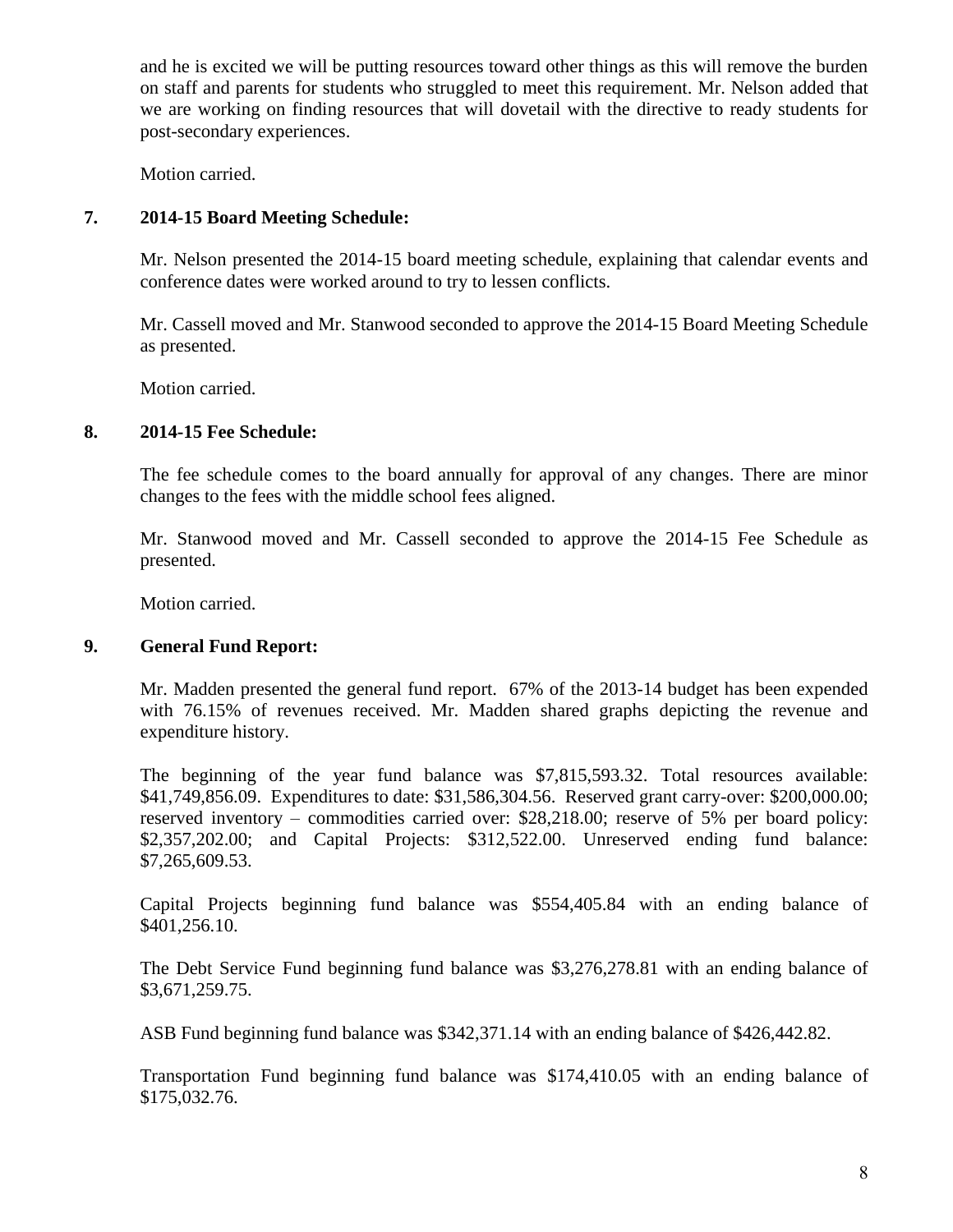and he is excited we will be putting resources toward other things as this will remove the burden on staff and parents for students who struggled to meet this requirement. Mr. Nelson added that we are working on finding resources that will dovetail with the directive to ready students for post-secondary experiences.

Motion carried.

## **7. 2014-15 Board Meeting Schedule:**

Mr. Nelson presented the 2014-15 board meeting schedule, explaining that calendar events and conference dates were worked around to try to lessen conflicts.

Mr. Cassell moved and Mr. Stanwood seconded to approve the 2014-15 Board Meeting Schedule as presented.

Motion carried.

## **8. 2014-15 Fee Schedule:**

The fee schedule comes to the board annually for approval of any changes. There are minor changes to the fees with the middle school fees aligned.

Mr. Stanwood moved and Mr. Cassell seconded to approve the 2014-15 Fee Schedule as presented.

Motion carried.

## **9. General Fund Report:**

Mr. Madden presented the general fund report. 67% of the 2013-14 budget has been expended with 76.15% of revenues received. Mr. Madden shared graphs depicting the revenue and expenditure history.

The beginning of the year fund balance was \$7,815,593.32. Total resources available: \$41,749,856.09. Expenditures to date: \$31,586,304.56. Reserved grant carry-over: \$200,000.00; reserved inventory – commodities carried over: \$28,218.00; reserve of 5% per board policy: \$2,357,202.00; and Capital Projects: \$312,522.00. Unreserved ending fund balance: \$7,265,609.53.

Capital Projects beginning fund balance was \$554,405.84 with an ending balance of \$401,256.10.

The Debt Service Fund beginning fund balance was \$3,276,278.81 with an ending balance of \$3,671,259.75.

ASB Fund beginning fund balance was \$342,371.14 with an ending balance of \$426,442.82.

Transportation Fund beginning fund balance was \$174,410.05 with an ending balance of \$175,032.76.